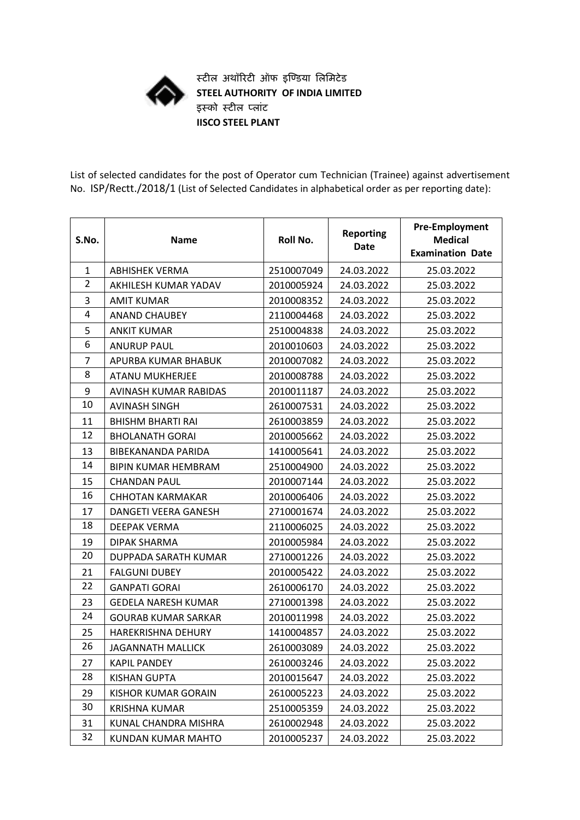

**स्टील अथॉरिटी ऑफ इण्डिया लललिटेि STEEL AUTHORITY OF INDIA LIMITED इस्को स्टील पलाांट IISCO STEEL PLANT**

List of selected candidates for the post of Operator cum Technician (Trainee) against advertisement No. ISP/Rectt./2018/1 (List of Selected Candidates in alphabetical order as per reporting date):

| S.No.          | <b>Name</b>                | Roll No.   | <b>Reporting</b><br><b>Date</b> | <b>Pre-Employment</b><br><b>Medical</b><br><b>Examination Date</b> |
|----------------|----------------------------|------------|---------------------------------|--------------------------------------------------------------------|
| $\mathbf{1}$   | <b>ABHISHEK VERMA</b>      | 2510007049 | 24.03.2022                      | 25.03.2022                                                         |
| $\overline{2}$ | AKHILESH KUMAR YADAV       | 2010005924 | 24.03.2022                      | 25.03.2022                                                         |
| 3              | <b>AMIT KUMAR</b>          | 2010008352 | 24.03.2022                      | 25.03.2022                                                         |
| 4              | <b>ANAND CHAUBEY</b>       | 2110004468 | 24.03.2022                      | 25.03.2022                                                         |
| 5              | <b>ANKIT KUMAR</b>         | 2510004838 | 24.03.2022                      | 25.03.2022                                                         |
| 6              | <b>ANURUP PAUL</b>         | 2010010603 | 24.03.2022                      | 25.03.2022                                                         |
| 7              | APURBA KUMAR BHABUK        | 2010007082 | 24.03.2022                      | 25.03.2022                                                         |
| 8              | <b>ATANU MUKHERJEE</b>     | 2010008788 | 24.03.2022                      | 25.03.2022                                                         |
| 9              | AVINASH KUMAR RABIDAS      | 2010011187 | 24.03.2022                      | 25.03.2022                                                         |
| 10             | <b>AVINASH SINGH</b>       | 2610007531 | 24.03.2022                      | 25.03.2022                                                         |
| 11             | <b>BHISHM BHARTI RAI</b>   | 2610003859 | 24.03.2022                      | 25.03.2022                                                         |
| 12             | <b>BHOLANATH GORAL</b>     | 2010005662 | 24.03.2022                      | 25.03.2022                                                         |
| 13             | BIBEKANANDA PARIDA         | 1410005641 | 24.03.2022                      | 25.03.2022                                                         |
| 14             | <b>BIPIN KUMAR HEMBRAM</b> | 2510004900 | 24.03.2022                      | 25.03.2022                                                         |
| 15             | <b>CHANDAN PAUL</b>        | 2010007144 | 24.03.2022                      | 25.03.2022                                                         |
| 16             | <b>CHHOTAN KARMAKAR</b>    | 2010006406 | 24.03.2022                      | 25.03.2022                                                         |
| 17             | DANGETI VEERA GANESH       | 2710001674 | 24.03.2022                      | 25.03.2022                                                         |
| 18             | <b>DEEPAK VERMA</b>        | 2110006025 | 24.03.2022                      | 25.03.2022                                                         |
| 19             | DIPAK SHARMA               | 2010005984 | 24.03.2022                      | 25.03.2022                                                         |
| 20             | DUPPADA SARATH KUMAR       | 2710001226 | 24.03.2022                      | 25.03.2022                                                         |
| 21             | <b>FALGUNI DUBEY</b>       | 2010005422 | 24.03.2022                      | 25.03.2022                                                         |
| 22             | <b>GANPATI GORAI</b>       | 2610006170 | 24.03.2022                      | 25.03.2022                                                         |
| 23             | <b>GEDELA NARESH KUMAR</b> | 2710001398 | 24.03.2022                      | 25.03.2022                                                         |
| 24             | <b>GOURAB KUMAR SARKAR</b> | 2010011998 | 24.03.2022                      | 25.03.2022                                                         |
| 25             | <b>HAREKRISHNA DEHURY</b>  | 1410004857 | 24.03.2022                      | 25.03.2022                                                         |
| 26             | JAGANNATH MALLICK          | 2610003089 | 24.03.2022                      | 25.03.2022                                                         |
| 27             | <b>KAPIL PANDEY</b>        | 2610003246 | 24.03.2022                      | 25.03.2022                                                         |
| 28             | <b>KISHAN GUPTA</b>        | 2010015647 | 24.03.2022                      | 25.03.2022                                                         |
| 29             | <b>KISHOR KUMAR GORAIN</b> | 2610005223 | 24.03.2022                      | 25.03.2022                                                         |
| 30             | <b>KRISHNA KUMAR</b>       | 2510005359 | 24.03.2022                      | 25.03.2022                                                         |
| 31             | KUNAL CHANDRA MISHRA       | 2610002948 | 24.03.2022                      | 25.03.2022                                                         |
| 32             | KUNDAN KUMAR MAHTO         | 2010005237 | 24.03.2022                      | 25.03.2022                                                         |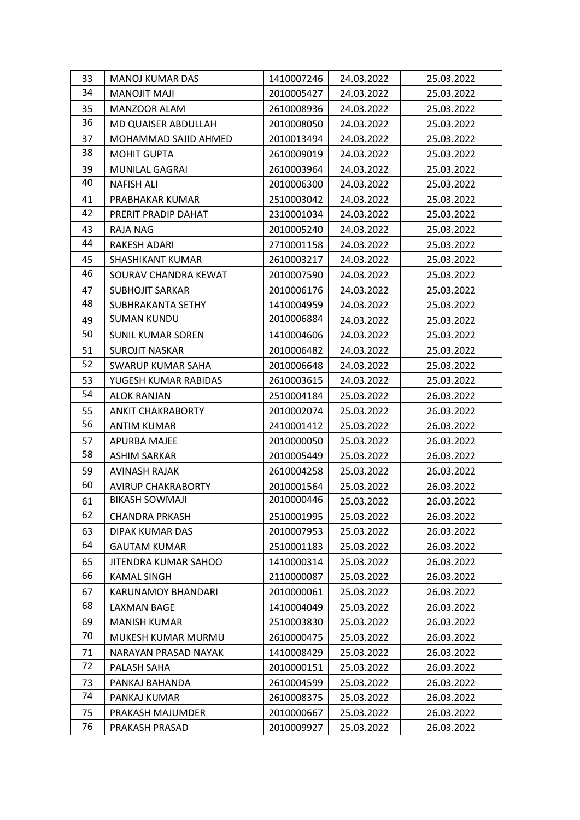| 33 | <b>MANOJ KUMAR DAS</b>    | 1410007246 | 24.03.2022 | 25.03.2022 |
|----|---------------------------|------------|------------|------------|
| 34 | <b>MANOJIT MAJI</b>       | 2010005427 | 24.03.2022 | 25.03.2022 |
| 35 | MANZOOR ALAM              | 2610008936 | 24.03.2022 | 25.03.2022 |
| 36 | MD QUAISER ABDULLAH       | 2010008050 | 24.03.2022 | 25.03.2022 |
| 37 | MOHAMMAD SAJID AHMED      | 2010013494 | 24.03.2022 | 25.03.2022 |
| 38 | <b>MOHIT GUPTA</b>        | 2610009019 | 24.03.2022 | 25.03.2022 |
| 39 | MUNILAL GAGRAI            | 2610003964 | 24.03.2022 | 25.03.2022 |
| 40 | <b>NAFISH ALI</b>         | 2010006300 | 24.03.2022 | 25.03.2022 |
| 41 | PRABHAKAR KUMAR           | 2510003042 | 24.03.2022 | 25.03.2022 |
| 42 | PRERIT PRADIP DAHAT       | 2310001034 | 24.03.2022 | 25.03.2022 |
| 43 | RAJA NAG                  | 2010005240 | 24.03.2022 | 25.03.2022 |
| 44 | RAKESH ADARI              | 2710001158 | 24.03.2022 | 25.03.2022 |
| 45 | SHASHIKANT KUMAR          | 2610003217 | 24.03.2022 | 25.03.2022 |
| 46 | SOURAV CHANDRA KEWAT      | 2010007590 | 24.03.2022 | 25.03.2022 |
| 47 | <b>SUBHOJIT SARKAR</b>    | 2010006176 | 24.03.2022 | 25.03.2022 |
| 48 | SUBHRAKANTA SETHY         | 1410004959 | 24.03.2022 | 25.03.2022 |
| 49 | <b>SUMAN KUNDU</b>        | 2010006884 | 24.03.2022 | 25.03.2022 |
| 50 | <b>SUNIL KUMAR SOREN</b>  | 1410004606 | 24.03.2022 | 25.03.2022 |
| 51 | <b>SUROJIT NASKAR</b>     | 2010006482 | 24.03.2022 | 25.03.2022 |
| 52 | <b>SWARUP KUMAR SAHA</b>  | 2010006648 | 24.03.2022 | 25.03.2022 |
| 53 | YUGESH KUMAR RABIDAS      | 2610003615 | 24.03.2022 | 25.03.2022 |
| 54 | <b>ALOK RANJAN</b>        | 2510004184 | 25.03.2022 | 26.03.2022 |
| 55 | <b>ANKIT CHAKRABORTY</b>  | 2010002074 | 25.03.2022 | 26.03.2022 |
| 56 | ANTIM KUMAR               | 2410001412 | 25.03.2022 | 26.03.2022 |
| 57 | APURBA MAJEE              | 2010000050 | 25.03.2022 | 26.03.2022 |
| 58 | ASHIM SARKAR              | 2010005449 | 25.03.2022 | 26.03.2022 |
| 59 | <b>AVINASH RAJAK</b>      | 2610004258 | 25.03.2022 | 26.03.2022 |
| 60 | <b>AVIRUP CHAKRABORTY</b> | 2010001564 | 25.03.2022 | 26.03.2022 |
| 61 | <b>BIKASH SOWMAJI</b>     | 2010000446 | 25.03.2022 | 26.03.2022 |
| 62 | <b>CHANDRA PRKASH</b>     | 2510001995 | 25.03.2022 | 26.03.2022 |
| 63 | DIPAK KUMAR DAS           | 2010007953 | 25.03.2022 | 26.03.2022 |
| 64 | <b>GAUTAM KUMAR</b>       | 2510001183 | 25.03.2022 | 26.03.2022 |
| 65 | JITENDRA KUMAR SAHOO      | 1410000314 | 25.03.2022 | 26.03.2022 |
| 66 | KAMAL SINGH               | 2110000087 | 25.03.2022 | 26.03.2022 |
| 67 | KARUNAMOY BHANDARI        | 2010000061 | 25.03.2022 | 26.03.2022 |
| 68 | <b>LAXMAN BAGE</b>        | 1410004049 | 25.03.2022 | 26.03.2022 |
| 69 | <b>MANISH KUMAR</b>       | 2510003830 | 25.03.2022 | 26.03.2022 |
| 70 | MUKESH KUMAR MURMU        | 2610000475 | 25.03.2022 | 26.03.2022 |
| 71 | NARAYAN PRASAD NAYAK      | 1410008429 | 25.03.2022 | 26.03.2022 |
| 72 | PALASH SAHA               | 2010000151 | 25.03.2022 | 26.03.2022 |
| 73 | PANKAJ BAHANDA            | 2610004599 | 25.03.2022 | 26.03.2022 |
| 74 | PANKAJ KUMAR              | 2610008375 | 25.03.2022 | 26.03.2022 |
| 75 | PRAKASH MAJUMDER          | 2010000667 | 25.03.2022 | 26.03.2022 |
| 76 | PRAKASH PRASAD            | 2010009927 | 25.03.2022 | 26.03.2022 |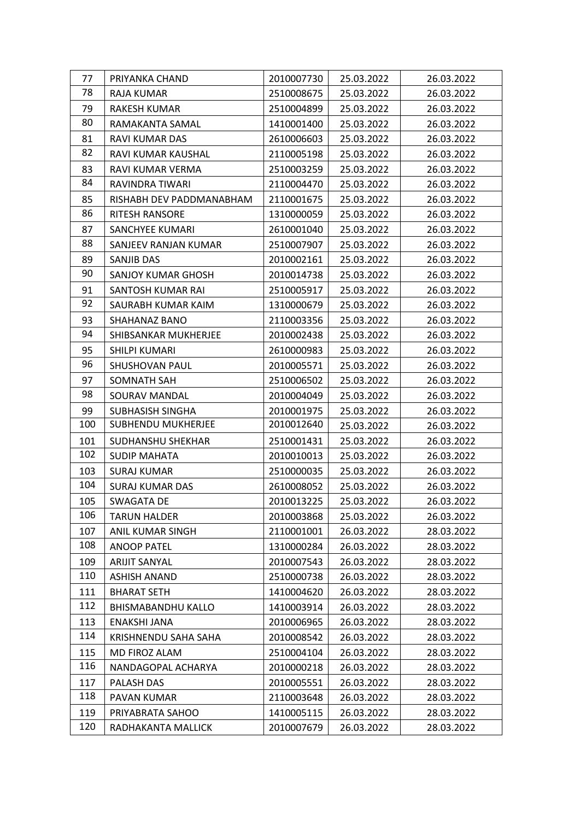| 77  | PRIYANKA CHAND            | 2010007730 | 25.03.2022 | 26.03.2022 |
|-----|---------------------------|------------|------------|------------|
| 78  | RAJA KUMAR                | 2510008675 | 25.03.2022 | 26.03.2022 |
| 79  | RAKESH KUMAR              | 2510004899 | 25.03.2022 | 26.03.2022 |
| 80  | RAMAKANTA SAMAL           | 1410001400 | 25.03.2022 | 26.03.2022 |
| 81  | RAVI KUMAR DAS            | 2610006603 | 25.03.2022 | 26.03.2022 |
| 82  | RAVI KUMAR KAUSHAL        | 2110005198 | 25.03.2022 | 26.03.2022 |
| 83  | RAVI KUMAR VERMA          | 2510003259 | 25.03.2022 | 26.03.2022 |
| 84  | RAVINDRA TIWARI           | 2110004470 | 25.03.2022 | 26.03.2022 |
| 85  | RISHABH DEV PADDMANABHAM  | 2110001675 | 25.03.2022 | 26.03.2022 |
| 86  | RITESH RANSORE            | 1310000059 | 25.03.2022 | 26.03.2022 |
| 87  | SANCHYEE KUMARI           | 2610001040 | 25.03.2022 | 26.03.2022 |
| 88  | SANJEEV RANJAN KUMAR      | 2510007907 | 25.03.2022 | 26.03.2022 |
| 89  | SANJIB DAS                | 2010002161 | 25.03.2022 | 26.03.2022 |
| 90  | SANJOY KUMAR GHOSH        | 2010014738 | 25.03.2022 | 26.03.2022 |
| 91  | SANTOSH KUMAR RAI         | 2510005917 | 25.03.2022 | 26.03.2022 |
| 92  | SAURABH KUMAR KAIM        | 1310000679 | 25.03.2022 | 26.03.2022 |
| 93  | SHAHANAZ BANO             | 2110003356 | 25.03.2022 | 26.03.2022 |
| 94  | SHIBSANKAR MUKHERJEE      | 2010002438 | 25.03.2022 | 26.03.2022 |
| 95  | SHILPI KUMARI             | 2610000983 | 25.03.2022 | 26.03.2022 |
| 96  | <b>SHUSHOVAN PAUL</b>     | 2010005571 | 25.03.2022 | 26.03.2022 |
| 97  | SOMNATH SAH               | 2510006502 | 25.03.2022 | 26.03.2022 |
| 98  | SOURAV MANDAL             | 2010004049 | 25.03.2022 | 26.03.2022 |
| 99  | SUBHASISH SINGHA          | 2010001975 | 25.03.2022 | 26.03.2022 |
| 100 | SUBHENDU MUKHERJEE        | 2010012640 | 25.03.2022 | 26.03.2022 |
| 101 | SUDHANSHU SHEKHAR         | 2510001431 | 25.03.2022 | 26.03.2022 |
| 102 | <b>SUDIP MAHATA</b>       | 2010010013 | 25.03.2022 | 26.03.2022 |
| 103 | <b>SURAJ KUMAR</b>        | 2510000035 | 25.03.2022 | 26.03.2022 |
| 104 | <b>SURAJ KUMAR DAS</b>    | 2610008052 | 25.03.2022 | 26.03.2022 |
| 105 | SWAGATA DE                | 2010013225 | 25.03.2022 | 26.03.2022 |
| 106 | <b>TARUN HALDER</b>       | 2010003868 | 25.03.2022 | 26.03.2022 |
| 107 | ANIL KUMAR SINGH          | 2110001001 | 26.03.2022 | 28.03.2022 |
| 108 | <b>ANOOP PATEL</b>        | 1310000284 | 26.03.2022 | 28.03.2022 |
| 109 | <b>ARIJIT SANYAL</b>      | 2010007543 | 26.03.2022 | 28.03.2022 |
| 110 | ASHISH ANAND              | 2510000738 | 26.03.2022 | 28.03.2022 |
| 111 | <b>BHARAT SETH</b>        | 1410004620 | 26.03.2022 | 28.03.2022 |
| 112 | <b>BHISMABANDHU KALLO</b> | 1410003914 | 26.03.2022 | 28.03.2022 |
| 113 | ENAKSHI JANA              | 2010006965 | 26.03.2022 | 28.03.2022 |
| 114 | KRISHNENDU SAHA SAHA      | 2010008542 | 26.03.2022 | 28.03.2022 |
| 115 | MD FIROZ ALAM             | 2510004104 | 26.03.2022 | 28.03.2022 |
| 116 | NANDAGOPAL ACHARYA        | 2010000218 | 26.03.2022 | 28.03.2022 |
| 117 | PALASH DAS                | 2010005551 | 26.03.2022 | 28.03.2022 |
| 118 | PAVAN KUMAR               | 2110003648 | 26.03.2022 | 28.03.2022 |
| 119 | PRIYABRATA SAHOO          | 1410005115 | 26.03.2022 | 28.03.2022 |
| 120 | RADHAKANTA MALLICK        | 2010007679 | 26.03.2022 | 28.03.2022 |